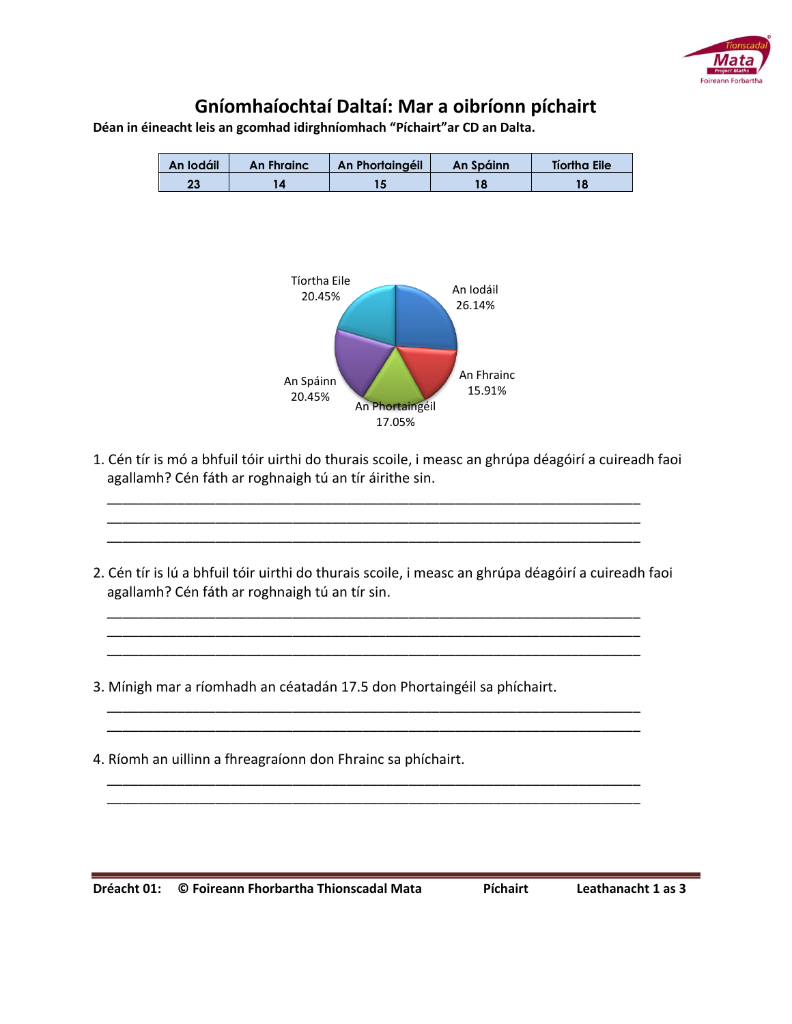

## **Gníomhaíochtaí Daltaí: Mar a oibríonn píchairt**

**Déan in éineacht leis an gcomhad idirghníomhach "Píchairt"ar CD an Dalta.**



1. Cén tír is mó a bhfuil tóir uirthi do thurais scoile, i measc an ghrúpa déagóirí a cuireadh faoi agallamh? Cén fáth ar roghnaigh tú an tír áirithe sin.

 \_\_\_\_\_\_\_\_\_\_\_\_\_\_\_\_\_\_\_\_\_\_\_\_\_\_\_\_\_\_\_\_\_\_\_\_\_\_\_\_\_\_\_\_\_\_\_\_\_\_\_\_\_\_\_\_\_\_\_\_\_\_\_\_\_\_\_\_\_ \_\_\_\_\_\_\_\_\_\_\_\_\_\_\_\_\_\_\_\_\_\_\_\_\_\_\_\_\_\_\_\_\_\_\_\_\_\_\_\_\_\_\_\_\_\_\_\_\_\_\_\_\_\_\_\_\_\_\_\_\_\_\_\_\_\_\_\_\_ \_\_\_\_\_\_\_\_\_\_\_\_\_\_\_\_\_\_\_\_\_\_\_\_\_\_\_\_\_\_\_\_\_\_\_\_\_\_\_\_\_\_\_\_\_\_\_\_\_\_\_\_\_\_\_\_\_\_\_\_\_\_\_\_\_\_\_\_\_

 $\overline{\phantom{a}}$  , and the contract of the contract of the contract of the contract of the contract of the contract of the contract of the contract of the contract of the contract of the contract of the contract of the contrac \_\_\_\_\_\_\_\_\_\_\_\_\_\_\_\_\_\_\_\_\_\_\_\_\_\_\_\_\_\_\_\_\_\_\_\_\_\_\_\_\_\_\_\_\_\_\_\_\_\_\_\_\_\_\_\_\_\_\_\_\_\_\_\_\_\_\_\_\_  $\overline{\phantom{a}}$  , and the contract of the contract of the contract of the contract of the contract of the contract of the contract of the contract of the contract of the contract of the contract of the contract of the contrac

 $\overline{\phantom{a}}$  , and the contract of the contract of the contract of the contract of the contract of the contract of the contract of the contract of the contract of the contract of the contract of the contract of the contrac  $\overline{\phantom{a}}$  , and the contract of the contract of the contract of the contract of the contract of the contract of the contract of the contract of the contract of the contract of the contract of the contract of the contrac

 $\overline{\phantom{a}}$  , and the contract of the contract of the contract of the contract of the contract of the contract of the contract of the contract of the contract of the contract of the contract of the contract of the contrac  $\overline{\phantom{a}}$  , and the contract of the contract of the contract of the contract of the contract of the contract of the contract of the contract of the contract of the contract of the contract of the contract of the contrac

- 2. Cén tír is lú a bhfuil tóir uirthi do thurais scoile, i measc an ghrúpa déagóirí a cuireadh faoi agallamh? Cén fáth ar roghnaigh tú an tír sin.
- 3. Mínigh mar a ríomhadh an céatadán 17.5 don Phortaingéil sa phíchairt.
- 4. Ríomh an uillinn a fhreagraíonn don Fhrainc sa phíchairt.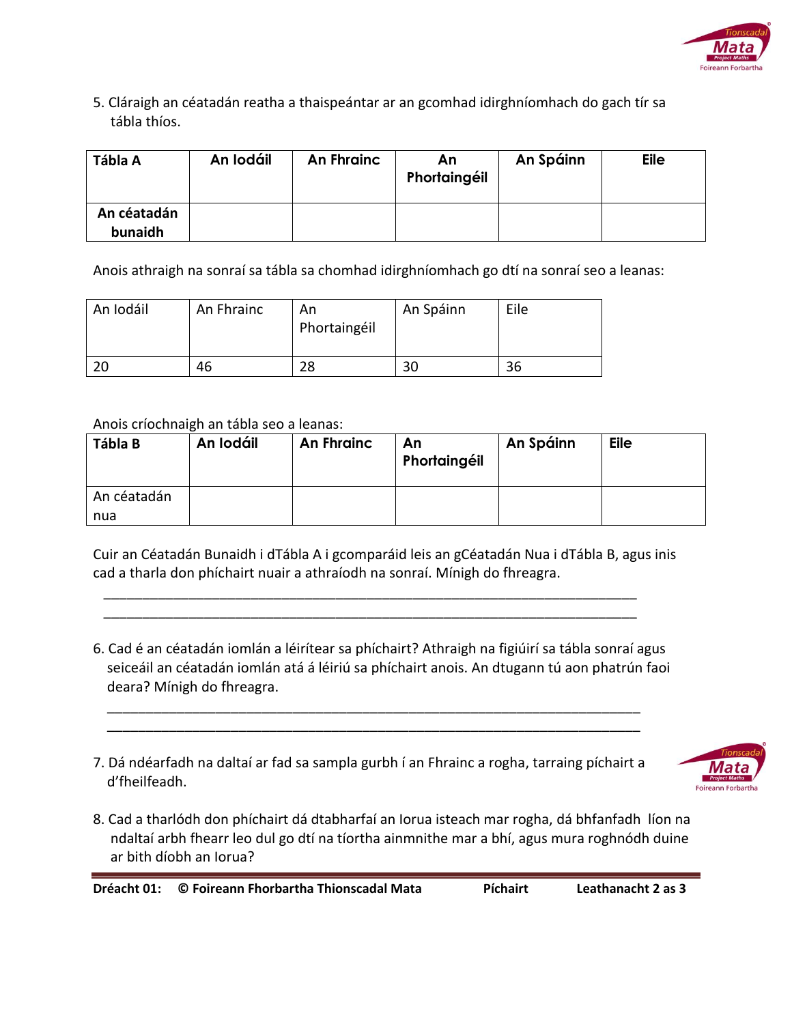

5. Cláraigh an céatadán reatha a thaispeántar ar an gcomhad idirghníomhach do gach tír sa tábla thíos.

| Tábla A                | An Iodáil | An Fhrainc | An<br>Phortaingéil | An Spáinn | <b>Eile</b> |
|------------------------|-----------|------------|--------------------|-----------|-------------|
| An céatadán<br>bunaidh |           |            |                    |           |             |

Anois athraigh na sonraí sa tábla sa chomhad idirghníomhach go dtí na sonraí seo a leanas:

| An Iodáil | An Fhrainc | An<br>Phortaingéil | An Spáinn | Eile |
|-----------|------------|--------------------|-----------|------|
| 20        | 46         | 28                 | 30        | 36   |

## Anois críochnaigh an tábla seo a leanas:

| Tábla B            | An Iodáil | An Fhrainc | An<br>Phortaingéil | An Spáinn | <b>Eile</b> |
|--------------------|-----------|------------|--------------------|-----------|-------------|
| An céatadán<br>nua |           |            |                    |           |             |

Cuir an Céatadán Bunaidh i dTábla A i gcomparáid leis an gCéatadán Nua i dTábla B, agus inis cad a tharla don phíchairt nuair a athraíodh na sonraí. Mínigh do fhreagra.

 \_\_\_\_\_\_\_\_\_\_\_\_\_\_\_\_\_\_\_\_\_\_\_\_\_\_\_\_\_\_\_\_\_\_\_\_\_\_\_\_\_\_\_\_\_\_\_\_\_\_\_\_\_\_\_\_\_\_\_\_\_\_\_\_\_\_\_\_\_ \_\_\_\_\_\_\_\_\_\_\_\_\_\_\_\_\_\_\_\_\_\_\_\_\_\_\_\_\_\_\_\_\_\_\_\_\_\_\_\_\_\_\_\_\_\_\_\_\_\_\_\_\_\_\_\_\_\_\_\_\_\_\_\_\_\_\_\_\_

- 6. Cad é an céatadán iomlán a léirítear sa phíchairt? Athraigh na figiúirí sa tábla sonraí agus seiceáil an céatadán iomlán atá á léiriú sa phíchairt anois. An dtugann tú aon phatrún faoi deara? Mínigh do fhreagra.
- 7. Dá ndéarfadh na daltaí ar fad sa sampla gurbh í an Fhrainc a rogha, tarraing píchairt a d'fheilfeadh.

 \_\_\_\_\_\_\_\_\_\_\_\_\_\_\_\_\_\_\_\_\_\_\_\_\_\_\_\_\_\_\_\_\_\_\_\_\_\_\_\_\_\_\_\_\_\_\_\_\_\_\_\_\_\_\_\_\_\_\_\_\_\_\_\_\_\_\_\_\_  $\overline{\phantom{a}}$  , and the contract of the contract of the contract of the contract of the contract of the contract of the contract of the contract of the contract of the contract of the contract of the contract of the contrac



8. Cad a tharlódh don phíchairt dá dtabharfaí an Iorua isteach mar rogha, dá bhfanfadh líon na ndaltaí arbh fhearr leo dul go dtí na tíortha ainmnithe mar a bhí, agus mura roghnódh duine ar bith díobh an Iorua?